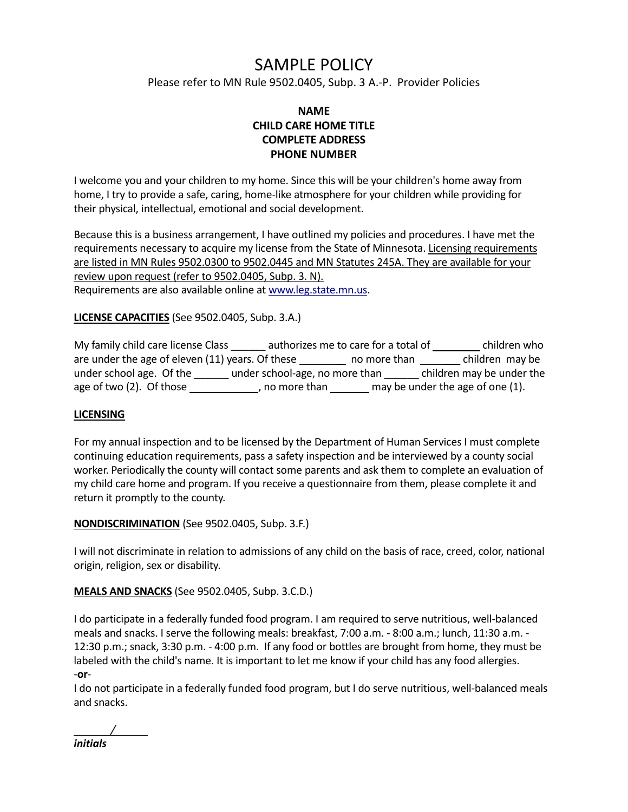# SAMPLE POLICY

Please refer to MN Rule 9502.0405, Subp. 3 A.-P. Provider Policies

## **NAME CHILD CARE HOME TITLE COMPLETE ADDRESS PHONE NUMBER**

I welcome you and your children to my home. Since this will be your children's home away from home, I try to provide a safe, caring, home-like atmosphere for your children while providing for their physical, intellectual, emotional and social development.

Because this is a business arrangement, I have outlined my policies and procedures. I have met the requirements necessary to acquire my license from the State of Minnesota. Licensing requirements are listed in MN Rules 9502.0300 to 9502.0445 and MN Statutes 245A. They are available for your review upon request (refer to 9502.0405, Subp. 3. N). Requirements are also available online at www.leg.state.mn.us.

**LICENSE CAPACITIES** (See 9502.0405, Subp. 3.A.)

| My family child care license Class               |                                | authorizes me to care for a total of | children who                     |
|--------------------------------------------------|--------------------------------|--------------------------------------|----------------------------------|
| are under the age of eleven (11) years. Of these |                                | no more than                         | children may be                  |
| under school age. Of the                         | under school-age, no more than |                                      | children may be under the        |
| age of two (2). Of those                         | , no more than                 |                                      | may be under the age of one (1). |

#### **LICENSING**

For my annual inspection and to be licensed by the Department of Human Services I must complete continuing education requirements, pass a safety inspection and be interviewed by a county social worker. Periodically the county will contact some parents and ask them to complete an evaluation of my child care home and program. If you receive a questionnaire from them, please complete it and return it promptly to the county.

#### **NONDISCRIMINATION** (See 9502.0405, Subp. 3.F.)

I will not discriminate in relation to admissions of any child on the basis of race, creed, color, national origin, religion, sex or disability.

**MEALS AND SNACKS** (See 9502.0405, Subp. 3.C.D.)

I do participate in a federally funded food program. I am required to serve nutritious, well-balanced meals and snacks. I serve the following meals: breakfast, 7:00 a.m. - 8:00 a.m.; lunch, 11:30 a.m. - 12:30 p.m.; snack, 3:30 p.m. - 4:00 p.m. If any food or bottles are brought from home, they must be labeled with the child's name. It is important to let me know if your child has any food allergies. -**or**-

I do not participate in a federally funded food program, but I do serve nutritious, well-balanced meals and snacks.

*/ initials*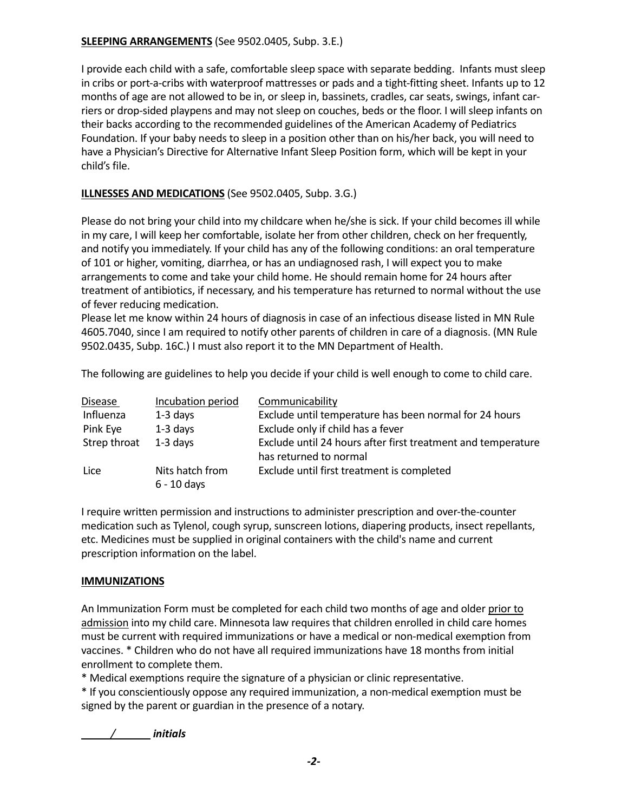## **SLEEPING ARRANGEMENTS** (See 9502.0405, Subp. 3.E.)

I provide each child with a safe, comfortable sleep space with separate bedding. Infants must sleep in cribs or port-a-cribs with waterproof mattresses or pads and a tight-fitting sheet. Infants up to 12 months of age are not allowed to be in, or sleep in, bassinets, cradles, car seats, swings, infant carriers or drop-sided playpens and may not sleep on couches, beds or the floor. I will sleep infants on their backs according to the recommended guidelines of the American Academy of Pediatrics Foundation. If your baby needs to sleep in a position other than on his/her back, you will need to have a Physician's Directive for Alternative Infant Sleep Position form, which will be kept in your child's file.

## **ILLNESSES AND MEDICATIONS** (See 9502.0405, Subp. 3.G.)

Please do not bring your child into my childcare when he/she is sick. If your child becomes ill while in my care, I will keep her comfortable, isolate her from other children, check on her frequently, and notify you immediately. If your child has any of the following conditions: an oral temperature of 101 or higher, vomiting, diarrhea, or has an undiagnosed rash, I will expect you to make arrangements to come and take your child home. He should remain home for 24 hours after treatment of antibiotics, if necessary, and his temperature has returned to normal without the use of fever reducing medication.

Please let me know within 24 hours of diagnosis in case of an infectious disease listed in MN Rule 4605.7040, since I am required to notify other parents of children in care of a diagnosis. (MN Rule 9502.0435, Subp. 16C.) I must also report it to the MN Department of Health.

The following are guidelines to help you decide if your child is well enough to come to child care.

| <b>Disease</b> | Incubation period                | Communicability                                              |
|----------------|----------------------------------|--------------------------------------------------------------|
| Influenza      | $1-3$ days                       | Exclude until temperature has been normal for 24 hours       |
| Pink Eye       | $1-3$ days                       | Exclude only if child has a fever                            |
| Strep throat   | $1-3$ days                       | Exclude until 24 hours after first treatment and temperature |
|                |                                  | has returned to normal                                       |
| Lice           | Nits hatch from<br>$6 - 10$ days | Exclude until first treatment is completed                   |

I require written permission and instructions to administer prescription and over-the-counter medication such as Tylenol, cough syrup, sunscreen lotions, diapering products, insect repellants, etc. Medicines must be supplied in original containers with the child's name and current prescription information on the label.

## **IMMUNIZATIONS**

An Immunization Form must be completed for each child two months of age and older prior to admission into my child care. Minnesota law requires that children enrolled in child care homes must be current with required immunizations or have a medical or non-medical exemption from vaccines. \* Children who do not have all required immunizations have 18 months from initial enrollment to complete them.

\* Medical exemptions require the signature of a physician or clinic representative.

\* If you conscientiously oppose any required immunization, a non-medical exemption must be signed by the parent or guardian in the presence of a notary.

*/ initials*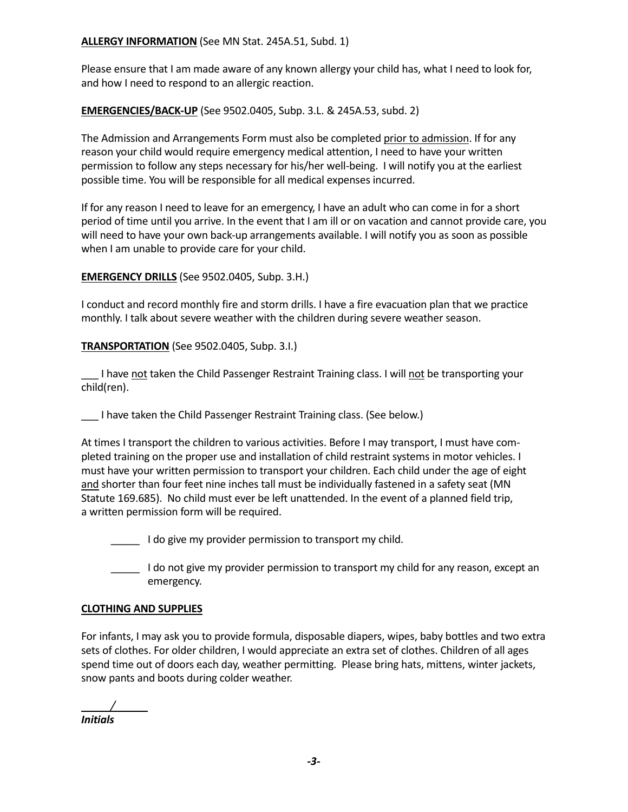#### **ALLERGY INFORMATION** (See MN Stat. 245A.51, Subd. 1)

Please ensure that I am made aware of any known allergy your child has, what I need to look for, and how I need to respond to an allergic reaction.

**EMERGENCIES/BACK-UP** (See 9502.0405, Subp. 3.L. & 245A.53, subd. 2)

The Admission and Arrangements Form must also be completed prior to admission. If for any reason your child would require emergency medical attention, I need to have your written permission to follow any steps necessary for his/her well-being. I will notify you at the earliest possible time. You will be responsible for all medical expenses incurred.

If for any reason I need to leave for an emergency, I have an adult who can come in for a short period of time until you arrive. In the event that I am ill or on vacation and cannot provide care, you will need to have your own back-up arrangements available. I will notify you as soon as possible when I am unable to provide care for your child.

#### **EMERGENCY DRILLS** (See 9502.0405, Subp. 3.H.)

I conduct and record monthly fire and storm drills. I have a fire evacuation plan that we practice monthly. I talk about severe weather with the children during severe weather season.

**TRANSPORTATION** (See 9502.0405, Subp. 3.I.)

\_\_\_ I have not taken the Child Passenger Restraint Training class. I will not be transporting your child(ren).

\_\_\_ I have taken the Child Passenger Restraint Training class. (See below.)

At times I transport the children to various activities. Before I may transport, I must have completed training on the proper use and installation of child restraint systems in motor vehicles. I must have your written permission to transport your children. Each child under the age of eight and shorter than four feet nine inches tall must be individually fastened in a safety seat (MN Statute 169.685). No child must ever be left unattended. In the event of a planned field trip, a written permission form will be required.

- I do give my provider permission to transport my child.
- I do not give my provider permission to transport my child for any reason, except an emergency.

#### **CLOTHING AND SUPPLIES**

For infants, I may ask you to provide formula, disposable diapers, wipes, baby bottles and two extra sets of clothes. For older children, I would appreciate an extra set of clothes. Children of all ages spend time out of doors each day, weather permitting. Please bring hats, mittens, winter jackets, snow pants and boots during colder weather.

*/ Initials*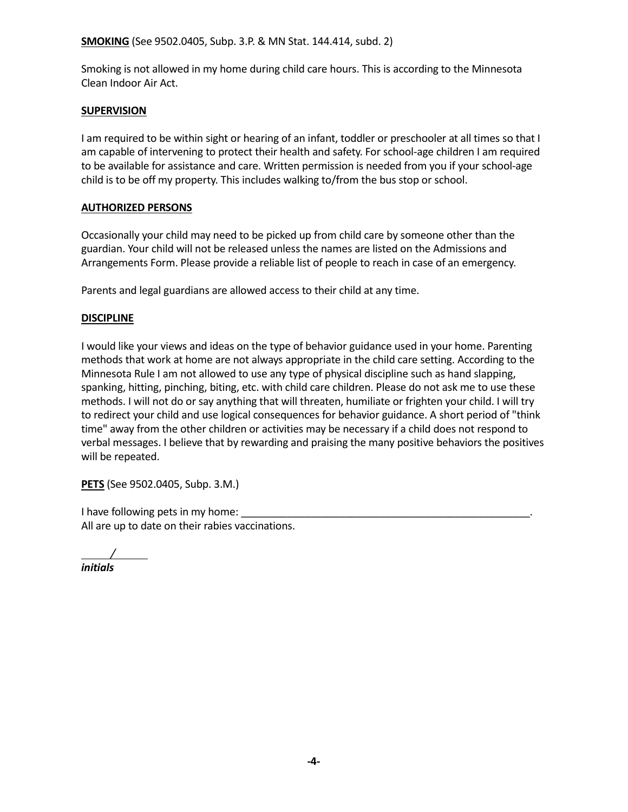#### **SMOKING** (See 9502.0405, Subp. 3.P. & MN Stat. 144.414, subd. 2)

Smoking is not allowed in my home during child care hours. This is according to the Minnesota Clean Indoor Air Act.

#### **SUPERVISION**

I am required to be within sight or hearing of an infant, toddler or preschooler at all times so that I am capable of intervening to protect their health and safety. For school-age children I am required to be available for assistance and care. Written permission is needed from you if your school-age child is to be off my property. This includes walking to/from the bus stop or school.

#### **AUTHORIZED PERSONS**

Occasionally your child may need to be picked up from child care by someone other than the guardian. Your child will not be released unless the names are listed on the Admissions and Arrangements Form. Please provide a reliable list of people to reach in case of an emergency.

Parents and legal guardians are allowed access to their child at any time.

#### **DISCIPLINE**

I would like your views and ideas on the type of behavior guidance used in your home. Parenting methods that work at home are not always appropriate in the child care setting. According to the Minnesota Rule I am not allowed to use any type of physical discipline such as hand slapping, spanking, hitting, pinching, biting, etc. with child care children. Please do not ask me to use these methods. I will not do or say anything that will threaten, humiliate or frighten your child. I will try to redirect your child and use logical consequences for behavior guidance. A short period of "think time" away from the other children or activities may be necessary if a child does not respond to verbal messages. I believe that by rewarding and praising the many positive behaviors the positives will be repeated.

**PETS** (See 9502.0405, Subp. 3.M.)

I have following pets in my home: All are up to date on their rabies vaccinations.

*/ initials*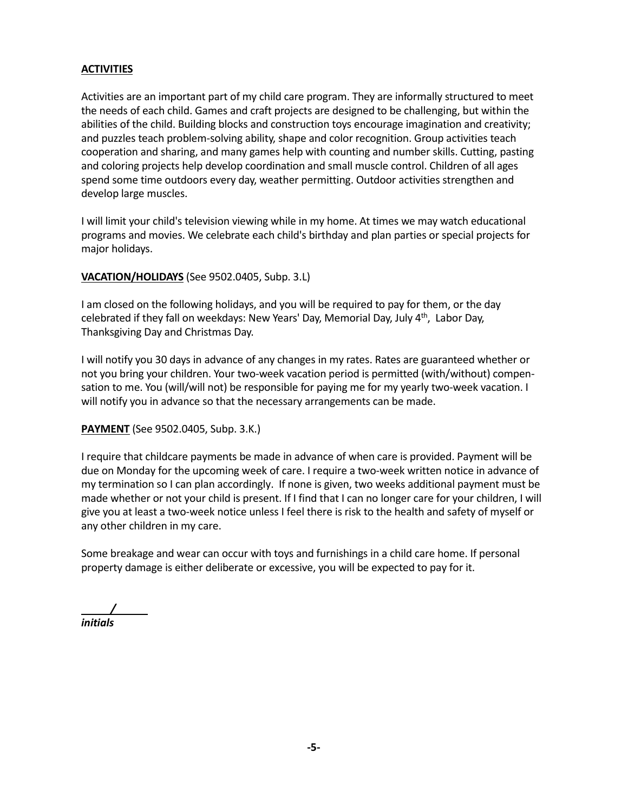#### **ACTIVITIES**

Activities are an important part of my child care program. They are informally structured to meet the needs of each child. Games and craft projects are designed to be challenging, but within the abilities of the child. Building blocks and construction toys encourage imagination and creativity; and puzzles teach problem-solving ability, shape and color recognition. Group activities teach cooperation and sharing, and many games help with counting and number skills. Cutting, pasting and coloring projects help develop coordination and small muscle control. Children of all ages spend some time outdoors every day, weather permitting. Outdoor activities strengthen and develop large muscles.

I will limit your child's television viewing while in my home. At times we may watch educational programs and movies. We celebrate each child's birthday and plan parties or special projects for major holidays.

#### **VACATION/HOLIDAYS** (See 9502.0405, Subp. 3.L)

I am closed on the following holidays, and you will be required to pay for them, or the day celebrated if they fall on weekdays: New Years' Day, Memorial Day, July 4<sup>th</sup>, Labor Day, Thanksgiving Day and Christmas Day.

I will notify you 30 days in advance of any changes in my rates. Rates are guaranteed whether or not you bring your children. Your two-week vacation period is permitted (with/without) compensation to me. You (will/will not) be responsible for paying me for my yearly two-week vacation. I will notify you in advance so that the necessary arrangements can be made.

#### **PAYMENT** (See 9502.0405, Subp. 3.K.)

I require that childcare payments be made in advance of when care is provided. Payment will be due on Monday for the upcoming week of care. I require a two-week written notice in advance of my termination so I can plan accordingly. If none is given, two weeks additional payment must be made whether or not your child is present. If I find that I can no longer care for your children, I will give you at least a two-week notice unless I feel there is risk to the health and safety of myself or any other children in my care.

Some breakage and wear can occur with toys and furnishings in a child care home. If personal property damage is either deliberate or excessive, you will be expected to pay for it.

*/ initials*